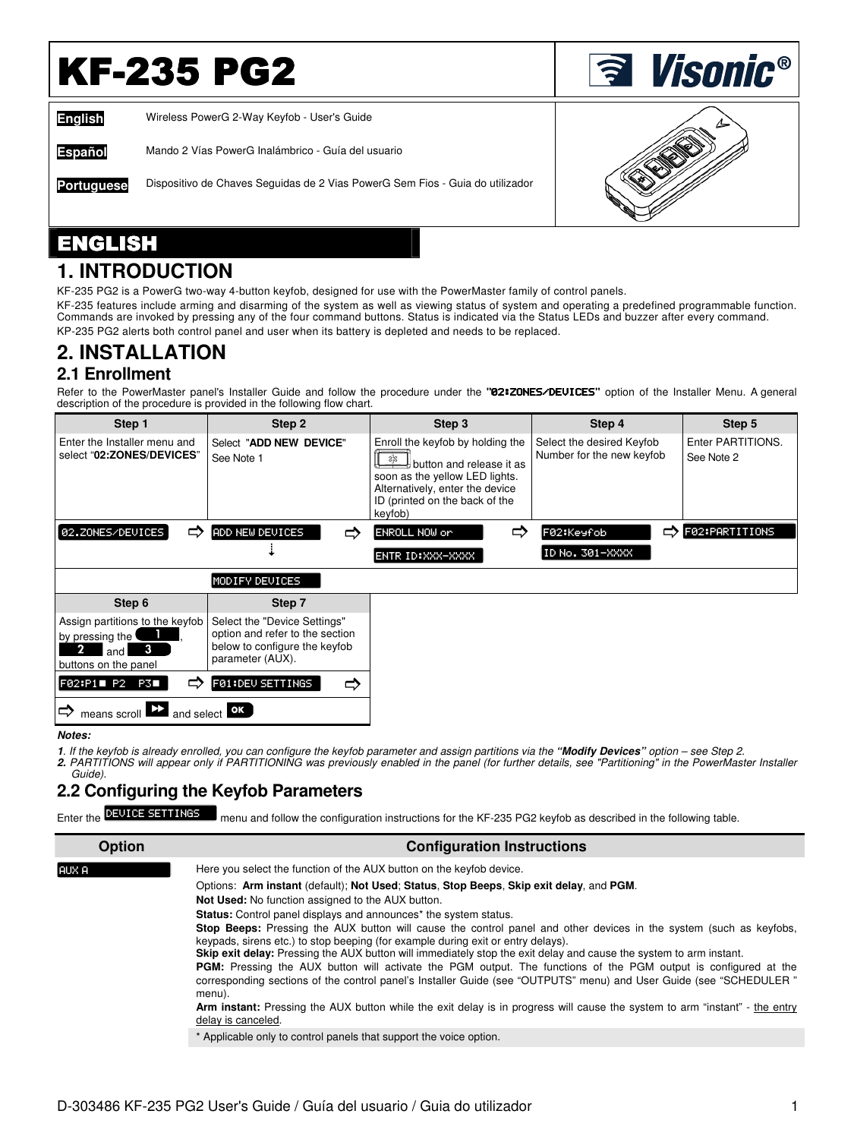# **KF-235 PG2**

**English** Wireless PowerG 2-Way Keyfob - User's Guide

**Español** Mando 2 Vías PowerG Inalámbrico - Guía del usuario

**Portuguese** Dispositivo de Chaves Seguidas de 2 Vias PowerG Sem Fios - Guia do utilizador



**<u>ৰ Visonic®</u>** 

### ENGLISH

### **1. INTRODUCTION**

KF-235 PG2 is a PowerG two-way 4-button keyfob, designed for use with the PowerMaster family of control panels.

KF-235 features include arming and disarming of the system as well as viewing status of system and operating a predefined programmable function. Commands are invoked by pressing any of the four command buttons. Status is indicated via the Status LEDs and buzzer after every command. KP-235 PG2 alerts both control panel and user when its battery is depleted and needs to be replaced.

# **2. INSTALLATION**

### **2.1 Enrollment**

Refer to the PowerMaster panel's Installer Guide and follow the procedure under the **"**02:ZONES/DEVICES**"** option of the Installer Menu. A general description of the procedure is provided in the following flow chart.

| Step 1                                                                                         | Step 2                                                                                                               | Step 3                                                                                                                                                                                          | Step 4                                                 | Step 5                          |
|------------------------------------------------------------------------------------------------|----------------------------------------------------------------------------------------------------------------------|-------------------------------------------------------------------------------------------------------------------------------------------------------------------------------------------------|--------------------------------------------------------|---------------------------------|
| Enter the Installer menu and<br>select "02:ZONES/DEVICES"                                      | Select "ADD NEW DEVICE"<br>See Note 1                                                                                | Enroll the keyfob by holding the<br>les.<br>Sis<br>ל button and release it as<br>soon as the yellow LED lights.<br>Alternatively, enter the device<br>ID (printed on the back of the<br>keyfob) | Select the desired Keyfob<br>Number for the new keyfob | Enter PARTITIONS.<br>See Note 2 |
| 02.ZONES/DEUICES<br>⇨                                                                          | ADD NEW DEVICES<br>⇨                                                                                                 | ⇨<br>ENROLL NOW or                                                                                                                                                                              | F02:Keyfob<br>⇨                                        | F02:PARTITIONS                  |
|                                                                                                |                                                                                                                      | ENTR ID: XXX-XXXX                                                                                                                                                                               | ID No. 301-XXXX                                        |                                 |
|                                                                                                | MODIFY DEVICES                                                                                                       |                                                                                                                                                                                                 |                                                        |                                 |
|                                                                                                |                                                                                                                      |                                                                                                                                                                                                 |                                                        |                                 |
| Step 6                                                                                         | Step 7                                                                                                               |                                                                                                                                                                                                 |                                                        |                                 |
| Assign partitions to the keyfob<br>by pressing the<br>$\bullet$<br>and<br>buttons on the panel | Select the "Device Settings"<br>option and refer to the section<br>below to configure the keyfob<br>parameter (AUX). |                                                                                                                                                                                                 |                                                        |                                 |
| F02:P1 P2<br>⇨<br>PS L                                                                         | FØ1:DEU SETTINGS<br>⇨                                                                                                |                                                                                                                                                                                                 |                                                        |                                 |

#### **Notes:**

**1**. If the keyfob is already enrolled, you can configure the keyfob parameter and assign partitions via the **"Modify Devices"** option – see Step 2.

**2.** PARTITIONS will appear only if PARTITIONING was previously enabled in the panel (for further details, see "Partitioning" in the PowerMaster Installer Guide).

### **2.2 Configuring the Keyfob Parameters**

menu and follow the configuration instructions for the KF-235 PG2 keyfob as described in the following table. Enter the **DEVICE SETTINGS** 

| <b>Option</b> | <b>Configuration Instructions</b>                                                                                                                                                                                                                                                                                                                                                                                                                                                                                                                                                                                                                                                                                                                                                                                                                                                                                                                                                                                                                  |  |  |  |
|---------------|----------------------------------------------------------------------------------------------------------------------------------------------------------------------------------------------------------------------------------------------------------------------------------------------------------------------------------------------------------------------------------------------------------------------------------------------------------------------------------------------------------------------------------------------------------------------------------------------------------------------------------------------------------------------------------------------------------------------------------------------------------------------------------------------------------------------------------------------------------------------------------------------------------------------------------------------------------------------------------------------------------------------------------------------------|--|--|--|
| IAUX A        | Here you select the function of the AUX button on the keyfob device.<br>Options: Arm instant (default); Not Used: Status, Stop Beeps, Skip exit delay, and PGM.<br><b>Not Used:</b> No function assigned to the AUX button.<br><b>Status:</b> Control panel displays and announces <sup>*</sup> the system status.<br><b>Stop Beeps:</b> Pressing the AUX button will cause the control panel and other devices in the system (such as keyfobs,<br>keypads, sirens etc.) to stop beeping (for example during exit or entry delays).<br>Skip exit delay: Pressing the AUX button will immediately stop the exit delay and cause the system to arm instant.<br><b>PGM:</b> Pressing the AUX button will activate the PGM output. The functions of the PGM output is configured at the<br>corresponding sections of the control panel's Installer Guide (see "OUTPUTS" menu) and User Guide (see "SCHEDULER"<br>menu).<br>Arm instant: Pressing the AUX button while the exit delay is in progress will cause the system to arm "instant" - the entry |  |  |  |
|               | delay is canceled.<br>* Applicable only to control panels that support the voice option.                                                                                                                                                                                                                                                                                                                                                                                                                                                                                                                                                                                                                                                                                                                                                                                                                                                                                                                                                           |  |  |  |
|               |                                                                                                                                                                                                                                                                                                                                                                                                                                                                                                                                                                                                                                                                                                                                                                                                                                                                                                                                                                                                                                                    |  |  |  |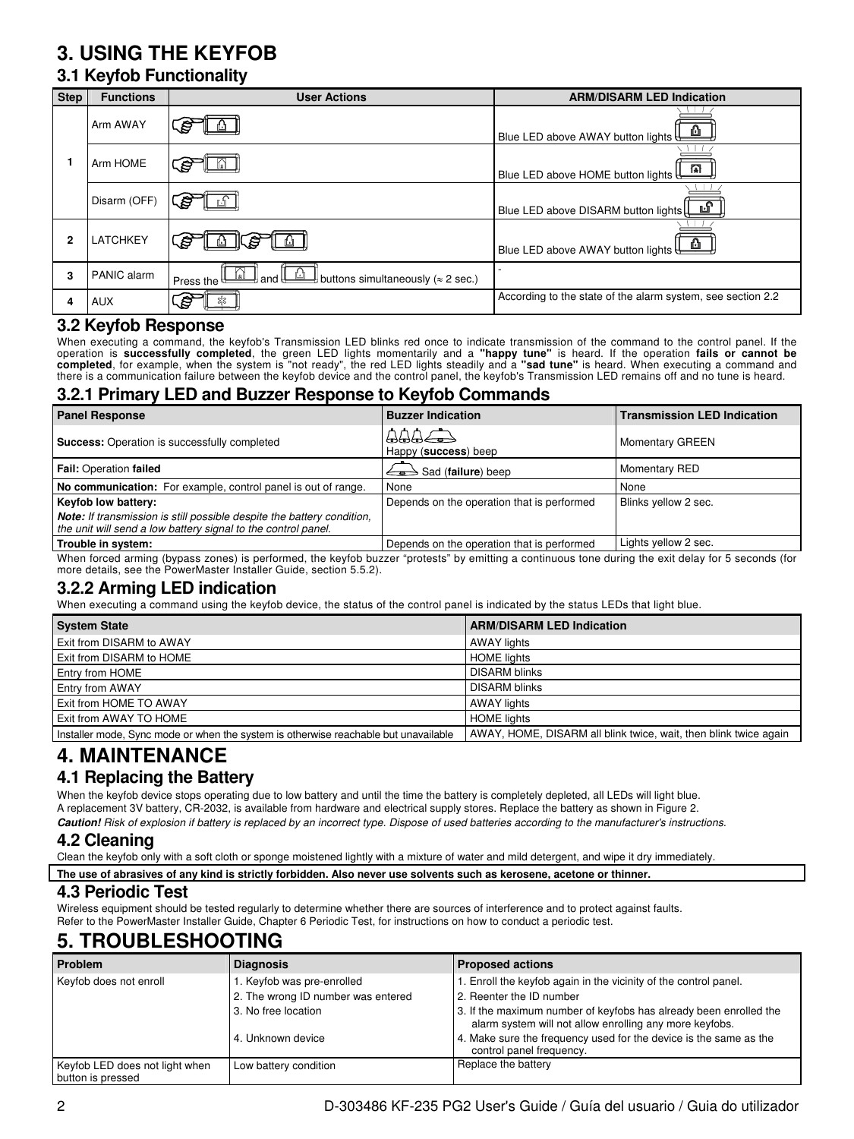## **3. USING THE KEYFOB**

### **3.1 Keyfob Functionality**

| <b>Step</b> | <b>Functions</b> | <b>User Actions</b>                                                          | <b>ARM/DISARM LED Indication</b>                            |
|-------------|------------------|------------------------------------------------------------------------------|-------------------------------------------------------------|
|             | Arm AWAY         | S                                                                            | <u>ங</u><br>Blue LED above AWAY button lights $\biguplus$   |
|             | Arm HOME         |                                                                              | m<br>Blue LED above HOME button lights                      |
|             | Disarm (OFF)     |                                                                              | Blue LED above DISARM button lights<br>ப                    |
| 2           | <b>LATCHKEY</b>  | ₽                                                                            | Blue LED above AWAY button lights                           |
| 3           | PANIC alarm      | ∣and <del>∐</del><br>buttons simultaneously ( $\approx$ 2 sec.)<br>Press the |                                                             |
| 4           | <b>AUX</b>       | ₿<br>얇                                                                       | According to the state of the alarm system, see section 2.2 |

#### **3.2 Keyfob Response**

When executing a command, the keyfob's Transmission LED blinks red once to indicate transmission of the command to the control panel. If the operation is **successfully completed**, the green LED lights momentarily and a "happy tune" is heard. If the operation fails or cannot be<br>completed, for example, when the system is "not ready", the red LED lights steadily a

### **3.2.1 Primary LED and Buzzer Response to Keyfob Commands**

| <b>Panel Response</b>                                                                                                                          | <b>Buzzer Indication</b>                   | <b>Transmission LED Indication</b> |
|------------------------------------------------------------------------------------------------------------------------------------------------|--------------------------------------------|------------------------------------|
| <b>Success:</b> Operation is successfully completed                                                                                            | AABCD<br>Happy (success) beep              | <b>Momentary GREEN</b>             |
| <b>Fail: Operation failed</b>                                                                                                                  | $\iff$ Sad (failure) beep                  | <b>Momentary RED</b>               |
| No communication: For example, control panel is out of range.                                                                                  | None                                       | None                               |
| <b>Keyfob low battery:</b>                                                                                                                     | Depends on the operation that is performed | Blinks yellow 2 sec.               |
| <b>Note:</b> If transmission is still possible despite the battery condition,<br>the unit will send a low battery signal to the control panel. |                                            |                                    |
| Trouble in system:                                                                                                                             | Depends on the operation that is performed | Lights yellow 2 sec.               |

When forced arming (bypass zones) is performed, the keyfob buzzer "protests" by emitting a continuous tone during the exit delay for 5 seconds (for more details, see the PowerMaster Installer Guide, section 5.5.2).

#### **3.2.2 Arming LED indication**

When executing a command using the keyfob device, the status of the control panel is indicated by the status LEDs that light blue.

| <b>System State</b>                                                                 | <b>ARM/DISARM LED Indication</b>                                 |
|-------------------------------------------------------------------------------------|------------------------------------------------------------------|
| <b>Exit from DISARM to AWAY</b>                                                     | <b>AWAY lights</b>                                               |
| <b>Exit from DISARM to HOME</b>                                                     | <b>HOME</b> lights                                               |
| <b>Entry from HOME</b>                                                              | <b>DISARM blinks</b>                                             |
| <b>Entry from AWAY</b>                                                              | <b>DISARM blinks</b>                                             |
| <b>Exit from HOME TO AWAY</b>                                                       | AWAY lights                                                      |
| <b>Exit from AWAY TO HOME</b>                                                       | <b>HOME</b> lights                                               |
| Installer mode, Sync mode or when the system is otherwise reachable but unavailable | AWAY, HOME, DISARM all blink twice, wait, then blink twice again |

### **4. MAINTENANCE**

### **4.1 Replacing the Battery**

When the keyfob device stops operating due to low battery and until the time the battery is completely depleted, all LEDs will light blue. A replacement 3V battery, CR-2032, is available from hardware and electrical supply stores. Replace the battery as shown in Figure 2. **Caution!** Risk of explosion if battery is replaced by an incorrect type. Dispose of used batteries according to the manufacturer's instructions.

#### **4.2 Cleaning**

Clean the keyfob only with a soft cloth or sponge moistened lightly with a mixture of water and mild detergent, and wipe it dry immediately.

**The use of abrasives of any kind is strictly forbidden. Also never use solvents such as kerosene, acetone or thinner.**

#### **4.3 Periodic Test**

Wireless equipment should be tested regularly to determine whether there are sources of interference and to protect against faults. Refer to the PowerMaster Installer Guide, Chapter 6 Periodic Test, for instructions on how to conduct a periodic test.

### **5. TROUBLESHOOTING**

| Problem                                             | <b>Diagnosis</b>                   | <b>Proposed actions</b>                                                                                                      |
|-----------------------------------------------------|------------------------------------|------------------------------------------------------------------------------------------------------------------------------|
| Keyfob does not enroll                              | 1. Keyfob was pre-enrolled         | 1. Enroll the keyfob again in the vicinity of the control panel.                                                             |
|                                                     | 2. The wrong ID number was entered | 2. Reenter the ID number                                                                                                     |
|                                                     | 3. No free location                | 3. If the maximum number of keyfobs has already been enrolled the<br>alarm system will not allow enrolling any more keyfobs. |
|                                                     | 4. Unknown device                  | 4. Make sure the frequency used for the device is the same as the<br>control panel frequency.                                |
| Keyfob LED does not light when<br>button is pressed | Low battery condition              | Replace the battery                                                                                                          |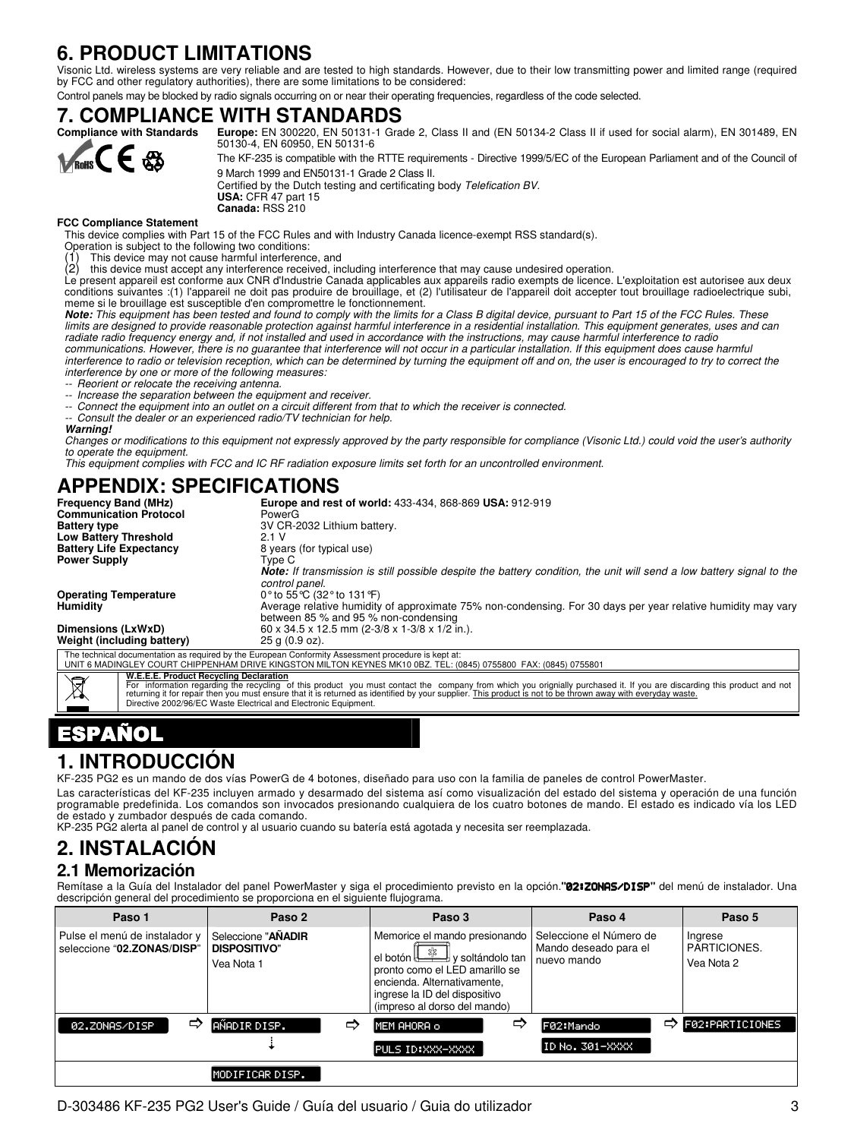### **6. PRODUCT LIMITATIONS**

Visonic Ltd. wireless systems are very reliable and are tested to high standards. However, due to their low transmitting power and limited range (required<br>by FCC and other regulatory authorities), there are some limitation

Control panels may be blocked by radio signals occurring on or near their operating frequencies, regardless of the code selected.

## **7. COMPLIANCE WITH STANDARDS**<br> **Compliance with Standards** Europe: EN 300220, EN 50131-1 Gra



#### **FCC Compliance Statement**

This device complies with Part 15 of the FCC Rules and with Industry Canada licence-exempt RSS standard(s).

Operation is subject to the following two conditions:

(1) This device may not cause harmful interference, and this device must accept any interference received, including interference that may cause undesired operation.

Le present appareil est conforme aux CNR d'Industrie Canada applicables aux appareils radio exempts de licence. L'exploitation est autorisee aux deux conditions suivantes :(1) l'appareil ne doit pas produire de brouillage, et (2) l'utilisateur de l'appareil doit accepter tout brouillage radioelectrique subi, meme si le brouillage est susceptible d'en compromettre le fonctionnement.

**Note:** This equipment has been tested and found to comply with the limits for a Class B digital device, pursuant to Part 15 of the FCC Rules. These limits are designed to provide reasonable protection against harmful interference in a residential installation. This equipment generates, uses and can radiate radio frequency energy and, if not installed and used in accordance with the instructions, may cause harmful interference to radio communications. However, there is no guarantee that interference will not occur in a particular installation. If this equipment does cause harmful interference to radio or television reception, which can be determined by turning the equipment off and on, the user is encouraged to try to correct the interference by one or more of the following measures:

-- Reorient or relocate the receiving antenna.

-- Increase the separation between the equipment and receiver.

-- Connect the equipment into an outlet on a circuit different from that to which the receiver is connected.

Consult the dealer or an experienced radio/TV technician for help.

**Warning!** 

Changes or modifications to this equipment not expressly approved by the party responsible for compliance (Visonic Ltd.) could void the user's authority to operate the equipment.

This equipment complies with FCC and IC RF radiation exposure limits set forth for an uncontrolled environment.

### **APPENDIX: SPECIFICATIONS**

| <b>Frequency Band (MHz)</b>                          | <b>Europe and rest of world: 433-434, 868-869 USA: 912-919</b>                                                                                                                                                          |
|------------------------------------------------------|-------------------------------------------------------------------------------------------------------------------------------------------------------------------------------------------------------------------------|
| <b>Communication Protocol</b>                        | PowerG                                                                                                                                                                                                                  |
| <b>Battery type</b>                                  | 3V CR-2032 Lithium battery.                                                                                                                                                                                             |
| <b>Low Battery Threshold</b>                         | 2.1V                                                                                                                                                                                                                    |
| <b>Battery Life Expectancy</b>                       | 8 years (for typical use)                                                                                                                                                                                               |
| <b>Power Supply</b>                                  | Tvpe C                                                                                                                                                                                                                  |
|                                                      | Note: If transmission is still possible despite the battery condition, the unit will send a low battery signal to the<br>control panel.                                                                                 |
| <b>Operating Temperature</b>                         | 0° to 55 °C (32° to 131 °F)                                                                                                                                                                                             |
| <b>Humidity</b>                                      | Average relative humidity of approximate 75% non-condensing. For 30 days per year relative humidity may vary<br>between 85 % and 95 % non-condensing                                                                    |
| Dimensions (LxWxD)                                   | 60 x 34.5 x 12.5 mm (2-3/8 x 1-3/8 x 1/2 in.).                                                                                                                                                                          |
| Weight (including battery)                           | $25$ a $(0.9$ oz).                                                                                                                                                                                                      |
|                                                      | The technical documentation as required by the European Conformity Assessment procedure is kept at:<br>UNIT 6 MADINGLEY COURT CHIPPENHAM DRIVE KINGSTON MILTON KEYNES MK10 0BZ. TEL: (0845) 0755800 FAX: (0845) 0755801 |
| W.E.E.E. Product Recycling Declaration<br>$\searrow$ |                                                                                                                                                                                                                         |

# W.E.E.E. Product Recycling Declaration<br>For information regarding the recycling of this product you must contact the company from which you orignially purchased it. If you are discarding this product and not<br>returning it fo

## PAÑOL

### **1. INTRODUCCIÓN**

KF-235 PG2 es un mando de dos vías PowerG de 4 botones, diseñado para uso con la familia de paneles de control PowerMaster.

Las características del KF-235 incluyen armado y desarmado del sistema así como visualización del estado del sistema y operación de una función programable predefinida. Los comandos son invocados presionando cualquiera de los cuatro botones de mando. El estado es indicado vía los LED de estado y zumbador después de cada comando.

KP-235 PG2 alerta al panel de control y al usuario cuando su batería está agotada y necesita ser reemplazada.

### **2. INSTALACIÓN**

#### **2.1 Memorización**

Remítase a la Guía del Instalador del panel PowerMaster y siga el procedimiento previsto en la opción.**"**02:ZONAS/DISP**"** del menú de instalador. Una descripción general del procedimiento se proporciona en el siguiente flujograma.

| Paso 1                                                      | Paso 2                                                  | Paso 3                                                                                                                                                                                       | Paso 4                                                          | Paso 5                                       |
|-------------------------------------------------------------|---------------------------------------------------------|----------------------------------------------------------------------------------------------------------------------------------------------------------------------------------------------|-----------------------------------------------------------------|----------------------------------------------|
| Pulse el menú de instalador y<br>seleccione "02.ZONAS/DISP" | Seleccione "AÑADIR<br><b>DISPOSITIVO"</b><br>Vea Nota 1 | Memorice el mando presionando<br>el botón y soltándolo tan<br>pronto como el LED amarillo se<br>encienda. Alternativamente,<br>ingrese la ID del dispositivo<br>(impreso al dorso del mando) | Seleccione el Número de<br>Mando deseado para el<br>nuevo mando | Ingrese<br><b>PARTICIONES.</b><br>Vea Nota 2 |
| ⇨<br>02.ZONAS/DISP                                          | AÑADIR DISP.<br>⇨                                       | ⇨<br>MEM AHORA o                                                                                                                                                                             | F02:Mando                                                       | $\Rightarrow$ F02:PARTICIONES                |
|                                                             |                                                         | PULS ID:XXX-XXXX                                                                                                                                                                             | ID No. 301-XXXX                                                 |                                              |
|                                                             | <u>MOD</u> IFICARDISP.                                  |                                                                                                                                                                                              |                                                                 |                                              |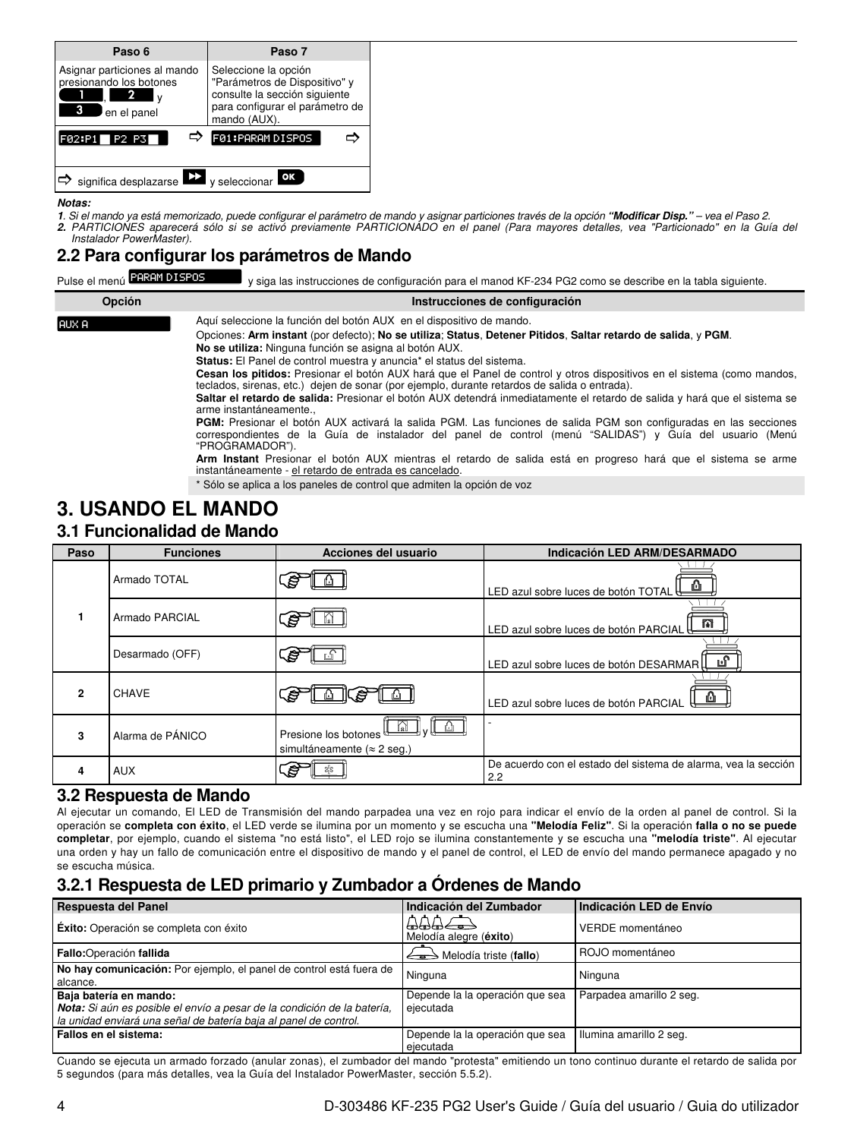| Paso 6                                 | Paso 7                          |
|----------------------------------------|---------------------------------|
| Asignar particiones al mando           | Seleccione la opción            |
| presionando los botones                | "Parámetros de Dispositivo" y   |
| 2                                      | consulte la sección siguiente   |
| I٧                                     | para configurar el parámetro de |
| en el panel                            | mando (AUX).                    |
| F02:P1                                 | F01:PARAMDISPOS                 |
| TP2 P3                                 | ⇨                               |
| significa desplazarse<br>$\Rightarrow$ | y seleccionar OK                |

**Notas:** 

**1**. Si el mando ya está memorizado, puede configurar el parámetro de mando y asignar particiones través de la opción **"Modificar Disp."** – vea el Paso 2. **2.** PARTICIONES aparecerá sólo si se activó previamente PARTICIONADO en el panel (Para mayores detalles, vea "Particionado" en la Guía del Instalador PowerMaster).

### **2.2 Para configurar los parámetros de Mando**

| Pulse el menú <b>PARAM DI SPOS</b> | y siga las instrucciones de configuración para el manod KF-234 PG2 como se describe en la tabla siguiente.                                                                                                                                                                                                                                                                                                                                                                                                                                                                                                                                                                                                                                                                                                                                                                                                                                                                                                                                                                                                                                                         |
|------------------------------------|--------------------------------------------------------------------------------------------------------------------------------------------------------------------------------------------------------------------------------------------------------------------------------------------------------------------------------------------------------------------------------------------------------------------------------------------------------------------------------------------------------------------------------------------------------------------------------------------------------------------------------------------------------------------------------------------------------------------------------------------------------------------------------------------------------------------------------------------------------------------------------------------------------------------------------------------------------------------------------------------------------------------------------------------------------------------------------------------------------------------------------------------------------------------|
| Opción                             | Instrucciones de configuración                                                                                                                                                                                                                                                                                                                                                                                                                                                                                                                                                                                                                                                                                                                                                                                                                                                                                                                                                                                                                                                                                                                                     |
| laux A                             | Aquí seleccione la función del botón AUX en el dispositivo de mando.<br>Opciones: Arm instant (por defecto); No se utiliza: Status, Detener Pitidos, Saltar retardo de salida, y PGM.<br>No se utiliza: Ninguna función se asigna al botón AUX.<br><b>Status:</b> El Panel de control muestra y anuncia <sup>*</sup> el status del sistema.<br>Cesan los pitidos: Presionar el botón AUX hará que el Panel de control y otros dispositivos en el sistema (como mandos,<br>teclados, sirenas, etc.) dejen de sonar (por ejemplo, durante retardos de salida o entrada).<br>Saltar el retardo de salida: Presionar el botón AUX detendrá inmediatamente el retardo de salida y hará que el sistema se<br>arme instantáneamente<br><b>PGM:</b> Presionar el botón AUX activará la salida PGM. Las funciones de salida PGM son configuradas en las secciones<br>correspondientes de la Guía de instalador del panel de control (menú "SALIDAS") y Guía del usuario (Menú<br>"PROGRAMADOR").<br>Arm Instant Presionar el botón AUX mientras el retardo de salida está en progreso hará que el sistema se arme<br>instantáneamente - el retardo de entrada es cancelado. |
|                                    | * Sólo se aplica a los paneles de control que admiten la opción de voz                                                                                                                                                                                                                                                                                                                                                                                                                                                                                                                                                                                                                                                                                                                                                                                                                                                                                                                                                                                                                                                                                             |

### **3. USANDO EL MANDO**

### **3.1 Funcionalidad de Mando**

| Paso | <b>Funciones</b> | Acciones del usuario                                        | Indicación LED ARM/DESARMADO                                          |
|------|------------------|-------------------------------------------------------------|-----------------------------------------------------------------------|
|      | Armado TOTAL     | 5                                                           | LED azul sobre luces de botón TOTAL                                   |
|      | Armado PARCIAL   | 8                                                           | 141<br>LED azul sobre luces de botón PARCIAL                          |
|      | Desarmado (OFF)  |                                                             | LED azul sobre luces de botón DESARMAR                                |
|      | <b>CHAVE</b>     | ₽                                                           | LED azul sobre luces de botón PARCIAL                                 |
| 3    | Alarma de PÁNICO | Presione los botones<br>simultáneamente ( $\approx$ 2 seg.) |                                                                       |
| 4    | <b>AUX</b>       | ₿                                                           | De acuerdo con el estado del sistema de alarma, vea la sección<br>2.2 |

#### **3.2 Respuesta de Mando**

Al ejecutar un comando, El LED de Transmisión del mando parpadea una vez en rojo para indicar el envío de la orden al panel de control. Si la operación se **completa con éxito**, el LED verde se ilumina por un momento y se escucha una **"Melodía Feliz"**. Si la operación **falla o no se puede completar**, por ejemplo, cuando el sistema "no está listo", el LED rojo se ilumina constantemente y se escucha una **"melodía triste"**. Al ejecutar una orden y hay un fallo de comunicación entre el dispositivo de mando y el panel de control, el LED de envío del mando permanece apagado y no se escucha música.

### **3.2.1 Respuesta de LED primario y Zumbador a Órdenes de Mando**

| Respuesta del Panel                                                                                                                                                   | Indicación del Zumbador                      | Indicación LED de Envío  |
|-----------------------------------------------------------------------------------------------------------------------------------------------------------------------|----------------------------------------------|--------------------------|
| <b>Éxito:</b> Operación se completa con éxito                                                                                                                         | $AAB \leftarrow$<br>Melodía alegre (éxito)   | VERDE momentáneo         |
| Fallo:Operación fallida                                                                                                                                               | $\iff$ Melodía triste (fallo)                | ROJO momentáneo          |
| No hay comunicación: Por ejemplo, el panel de control está fuera de<br>alcance.                                                                                       | Ninguna                                      | Ninguna                  |
| Baja batería en mando:<br>Nota: Si aún es posible el envío a pesar de la condición de la batería,<br>la unidad enviará una señal de batería baja al panel de control. | Depende la la operación que sea<br>ejecutada | Parpadea amarillo 2 seg. |
| Fallos en el sistema:                                                                                                                                                 | Depende la la operación que sea<br>ejecutada | Ilumina amarillo 2 seg.  |

Cuando se ejecuta un armado forzado (anular zonas), el zumbador del mando "protesta" emitiendo un tono continuo durante el retardo de salida por 5 segundos (para más detalles, vea la Guía del Instalador PowerMaster, sección 5.5.2).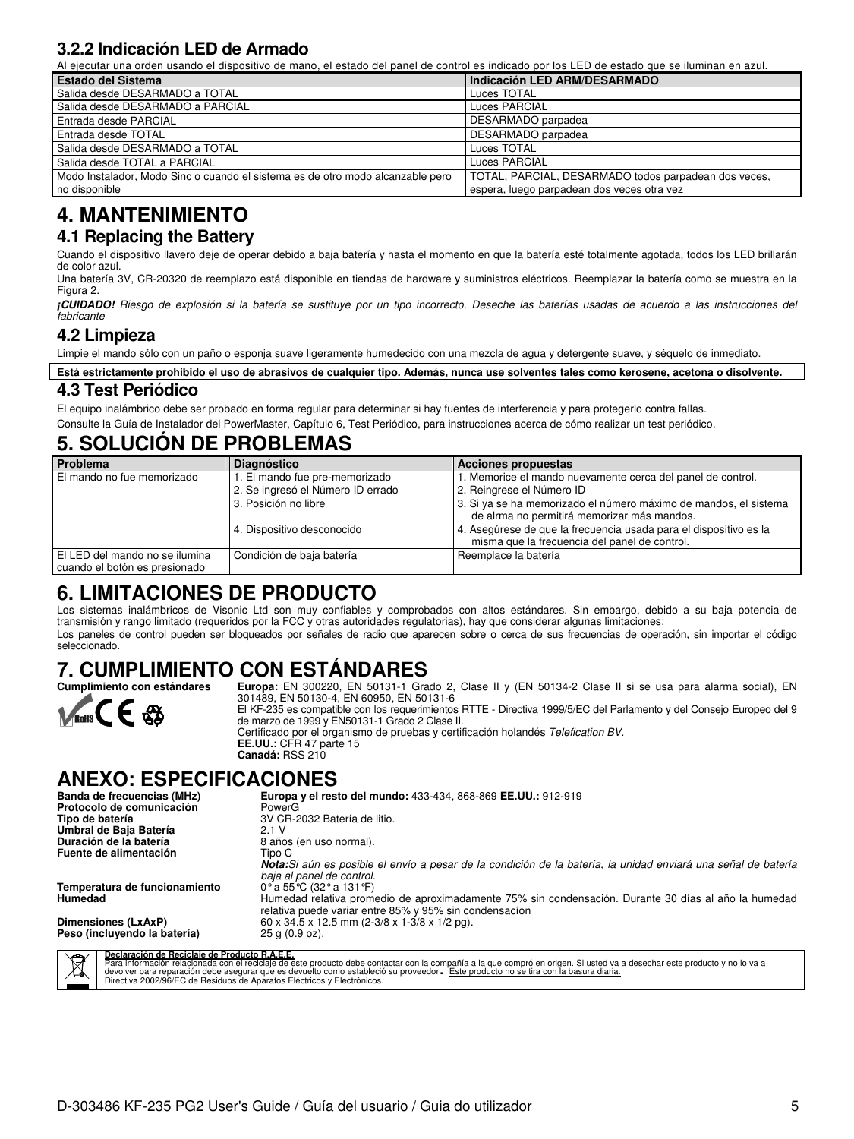### **3.2.2 Indicación LED de Armado**

Al ejecutar una orden usando el dispositivo de mano, el estado del panel de control es indicado por los LED de estado que se iluminan en azul.

| <b>Estado del Sistema</b>                                                      | Indicación LED ARM/DESARMADO                         |
|--------------------------------------------------------------------------------|------------------------------------------------------|
| Salida desde DESARMADO a TOTAL                                                 | Luces TOTAL                                          |
| Salida desde DESARMADO a PARCIAL                                               | Luces PARCIAL                                        |
| Entrada desde PARCIAL                                                          | DESARMADO parpadea                                   |
| Entrada desde TOTAL                                                            | DESARMADO parpadea                                   |
| Salida desde DESARMADO a TOTAL                                                 | Luces TOTAL                                          |
| Salida desde TOTAL a PARCIAL                                                   | Luces PARCIAL                                        |
| Modo Instalador, Modo Sinc o cuando el sistema es de otro modo alcanzable pero | TOTAL, PARCIAL, DESARMADO todos parpadean dos veces, |
| no disponible                                                                  | espera, luego parpadean dos veces otra vez           |

### **4. MANTENIMIENTO**

#### **4.1 Replacing the Battery**

Cuando el dispositivo llavero deje de operar debido a baja batería y hasta el momento en que la batería esté totalmente agotada, todos los LED brillarán de color azul.

Una batería 3V, CR-20320 de reemplazo está disponible en tiendas de hardware y suministros eléctricos. Reemplazar la batería como se muestra en la Figura 2.

**¡CUIDADO!** Riesgo de explosión si la batería se sustituye por un tipo incorrecto. Deseche las baterías usadas de acuerdo a las instrucciones del fabricante

#### **4.2 Limpieza**

Limpie el mando sólo con un paño o esponja suave ligeramente humedecido con una mezcla de agua y detergente suave, y séquelo de inmediato.

**Está estrictamente prohibido el uso de abrasivos de cualquier tipo. Además, nunca use solventes tales como kerosene, acetona o disolvente.**

### **4.3 Test Periódico**

El equipo inalámbrico debe ser probado en forma regular para determinar si hay fuentes de interferencia y para protegerlo contra fallas. Consulte la Guía de Instalador del PowerMaster, Capítulo 6, Test Periódico, para instrucciones acerca de cómo realizar un test periódico.

### **5. SOLUCIÓN DE PROBLEMAS**

| Problema                                                        | <b>Diagnóstico</b>                | <b>Acciones propuestas</b>                                                                                         |
|-----------------------------------------------------------------|-----------------------------------|--------------------------------------------------------------------------------------------------------------------|
| El mando no fue memorizado                                      | 1. El mando fue pre-memorizado    | 1. Memorice el mando nuevamente cerca del panel de control.                                                        |
|                                                                 | 2. Se ingresó el Número ID errado | 2. Reingrese el Número ID                                                                                          |
|                                                                 | 3. Posición no libre              | 3. Si ya se ha memorizado el número máximo de mandos, el sistema<br>de alrma no permitirá memorizar más mandos.    |
|                                                                 | 4. Dispositivo desconocido        | 4. Asegúrese de que la frecuencia usada para el dispositivo es la<br>misma que la frecuencia del panel de control. |
| El LED del mando no se ilumina<br>cuando el botón es presionado | Condición de baja batería         | Reemplace la batería                                                                                               |

### **6. LIMITACIONES DE PRODUCTO**

Los sistemas inalámbricos de Visonic Ltd son muy confiables y comprobados con altos estándares. Sin embargo, debido a su baja potencia de transmisión y rango limitado (requeridos por la FCC y otras autoridades regulatorias), hay que considerar algunas limitaciones: Los paneles de control pueden ser bloqueados por señales de radio que aparecen sobre o cerca de sus frecuencias de operación, sin importar el código seleccionado.

# **7. CUMPLIMIENTO CON ESTÁNDARES**<br>Cumplimiento con estándares Europa: EN 300220, EN 50131-1 Gra



Europa: EN 300220, EN 50131-1 Grado 2, Clase II y (EN 50134-2 Clase II si se usa para alarma social), EN 301489, EN 50130-4, EN 60950, EN 50131-6 El KF-235 es compatible con los requerimientos RTTE - Directiva 1999/5/EC del Parlamento y del Consejo Europeo del 9 de marzo de 1999 y EN50131-1 Grado 2 Clase II. Certificado por el organismo de pruebas y certificación holandés Telefication BV. **EE.UU.:** CFR 47 parte 15 **Canadá:** RSS 210

### **ANEXO: ESPECIFICACIONES**

| Banda de frecuencias (MHz)                              | Europa y el resto del mundo: 433-434, 868-869 EE.UU.: 912-919                                                                                                  |
|---------------------------------------------------------|----------------------------------------------------------------------------------------------------------------------------------------------------------------|
| Protocolo de comunicación                               | PowerG                                                                                                                                                         |
| Tipo de batería                                         | 3V CR-2032 Batería de litio.                                                                                                                                   |
| Umbral de Baja Batería                                  | 2.1 V                                                                                                                                                          |
| Duración de la batería                                  | 8 años (en uso normal).                                                                                                                                        |
| Fuente de alimentación                                  | Tipo C                                                                                                                                                         |
|                                                         | Nota: Si aún es posible el envío a pesar de la condición de la batería, la unidad enviará una señal de batería<br>baja al panel de control.                    |
| Temperatura de funcionamiento                           | 0° a 55°C (32° a 131°F)                                                                                                                                        |
| Humedad                                                 | Humedad relativa promedio de aproximadamente 75% sin condensación. Durante 30 días al año la humedad<br>relativa puede variar entre 85% y 95% sin condensacion |
| Dimensiones (LxAxP)                                     | 60 x 34.5 x 12.5 mm (2-3/8 x 1-3/8 x 1/2 pg).                                                                                                                  |
| Peso (incluyendo la batería)                            | $25$ g $(0.9$ oz).                                                                                                                                             |
| Declaración de Reciclaie de Producto R.A.E.E.<br>$\sum$ |                                                                                                                                                                |

**Declaración de Reciclaje de Producto R.A.E.E.**<br>Para información relacionada con el reciclaje de este producto debe contactar con la compañía a la que compró en origen. Si usted va a desechar este producto y no lo va a<br>dev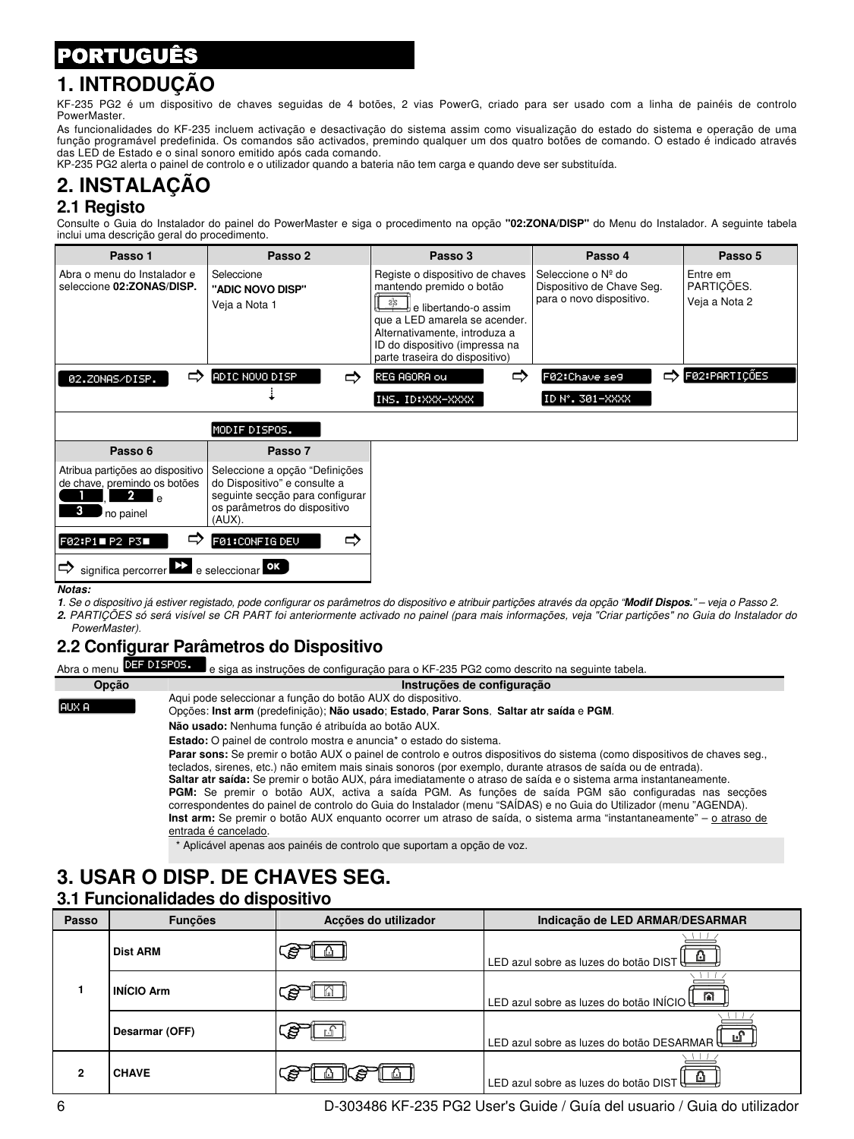### PORTUGUÊS

### **1. INTRODUÇÃO**

KF-235 PG2 é um dispositivo de chaves seguidas de 4 botões, 2 vias PowerG, criado para ser usado com a linha de painéis de controlo PowerMaster.

As funcionalidades do KF-235 incluem activação e desactivação do sistema assim como visualização do estado do sistema e operação de uma função programável predefinida. Os comandos são activados, premindo qualquer um dos quatro botões de comando. O estado é indicado através das LED de Estado e o sinal sonoro emitido após cada comando.

KP-235 PG2 alerta o painel de controlo e o utilizador quando a bateria não tem carga e quando deve ser substituída.

#### **2. INSTALAÇÃO 2.1 Registo**

Consulte o Guia do Instalador do painel do PowerMaster e siga o procedimento na opção **"02:ZONA/DISP"** do Menu do Instalador. A seguinte tabela inclui uma descrição geral do procedimento.

| Passo 1                                                                                         | Passo 2                                                                                                                                     | Passo 3                                                                                                                                                                                                                          | Passo 4                                                                     | Passo 5                                 |
|-------------------------------------------------------------------------------------------------|---------------------------------------------------------------------------------------------------------------------------------------------|----------------------------------------------------------------------------------------------------------------------------------------------------------------------------------------------------------------------------------|-----------------------------------------------------------------------------|-----------------------------------------|
| Abra o menu do Instalador e<br>seleccione 02:ZONAS/DISP.                                        | Seleccione<br>"ADIC NOVO DISP"<br>Veja a Nota 1                                                                                             | Registe o dispositivo de chaves<br>mantendo premido o botão<br>器<br>∄ e libertando-o assim<br>que a LED amarela se acender.<br>Alternativamente, introduza a<br>ID do dispositivo (impressa na<br>parte traseira do dispositivo) | Seleccione o Nº do<br>Dispositivo de Chave Seg.<br>para o novo dispositivo. | Entre em<br>PARTICÕES.<br>Veja a Nota 2 |
| ⇨<br>02.ZONAS/DISP.                                                                             | ADIC NOVO DISP                                                                                                                              | ⇨<br>REG AGORA ou                                                                                                                                                                                                                | ⇨<br>F02:Chave se9                                                          | F02:PARTIÇÕES                           |
|                                                                                                 |                                                                                                                                             | INS. ID:XXX-XXXX                                                                                                                                                                                                                 | ID N°. 301-XXXX                                                             |                                         |
|                                                                                                 | MODIF DISPOS.                                                                                                                               |                                                                                                                                                                                                                                  |                                                                             |                                         |
| Passo 6                                                                                         | Passo 7                                                                                                                                     |                                                                                                                                                                                                                                  |                                                                             |                                         |
| Atribua partições ao dispositivo<br>de chave, premindo os botões<br>2.<br>م ا<br>3<br>no painel | Seleccione a opção "Definições<br>do Dispositivo" e consulte a<br>seguinte secção para configurar<br>os parâmetros do dispositivo<br>(AUX). |                                                                                                                                                                                                                                  |                                                                             |                                         |
| F02:P1 P2 P3                                                                                    | ⇨<br>FØ1:CONFIGDEV                                                                                                                          |                                                                                                                                                                                                                                  |                                                                             |                                         |
| significa percorrer                                                                             | e seleccionar OK                                                                                                                            |                                                                                                                                                                                                                                  |                                                                             |                                         |

**Notas:** 

**1**. Se o dispositivo já estiver registado, pode configurar os parâmetros do dispositivo e atribuir partições através da opção "**Modif Dispos.**" – veja o Passo 2. **2.** PARTIÇÕES só será visível se CR PART foi anteriormente activado no painel (para mais informações, veja "Criar partições" no Guia do Instalador do PowerMaster).

### **2.2 Configurar Parâmetros do Dispositivo**

e siga as instruções de configuração para o KF-235 PG2 como descrito na seguinte tabela. Abra o menu DEF DISPOS.

AUX A

#### **Opção Instruções de configuração**

Aqui pode seleccionar a função do botão AUX do dispositivo.

Opções: **Inst arm** (predefinição); **Não usado**; **Estado**, **Parar Sons**, **Saltar atr saída** e **PGM**.

**Não usado:** Nenhuma função é atribuída ao botão AUX.

**Estado:** O painel de controlo mostra e anuncia\* o estado do sistema.

**Parar sons:** Se premir o botão AUX o painel de controlo e outros dispositivos do sistema (como dispositivos de chaves seg., teclados, sirenes, etc.) não emitem mais sinais sonoros (por exemplo, durante atrasos de saída ou de entrada). **Saltar atr saída:** Se premir o botão AUX, pára imediatamente o atraso de saída e o sistema arma instantaneamente.

**PGM:** Se premir o botão AUX, activa a saída PGM. As funções de saída PGM são configuradas nas secções correspondentes do painel de controlo do Guia do Instalador (menu "SAÍDAS) e no Guia do Utilizador (menu "AGENDA). **Inst arm:** Se premir o botão AUX enquanto ocorrer um atraso de saída, o sistema arma "instantaneamente" – o atraso de entrada é cancelado.

\* Aplicável apenas aos painéis de controlo que suportam a opção de voz.

## **3. USAR O DISP. DE CHAVES SEG.**

#### **3.1 Funcionalidades do dispositivo**

| Passo | <b>Funcões</b>    | Acções do utilizador | Indicação de LED ARMAR/DESARMAR                       |
|-------|-------------------|----------------------|-------------------------------------------------------|
|       | <b>Dist ARM</b>   | s                    | LED azul sobre as luzes do botão DIST                 |
|       | <b>INÍCIO Arm</b> | √₿                   | $\sqrt{a}$<br>LED azul sobre as luzes do botão INÍCIO |
|       | Desarmar (OFF)    | ∖≅                   | LED azul sobre as luzes do botão DESARMAR             |
| 2     | <b>CHAVE</b>      | ເອ                   | 'LED azul sobre as luzes do botão DIST $\Box$         |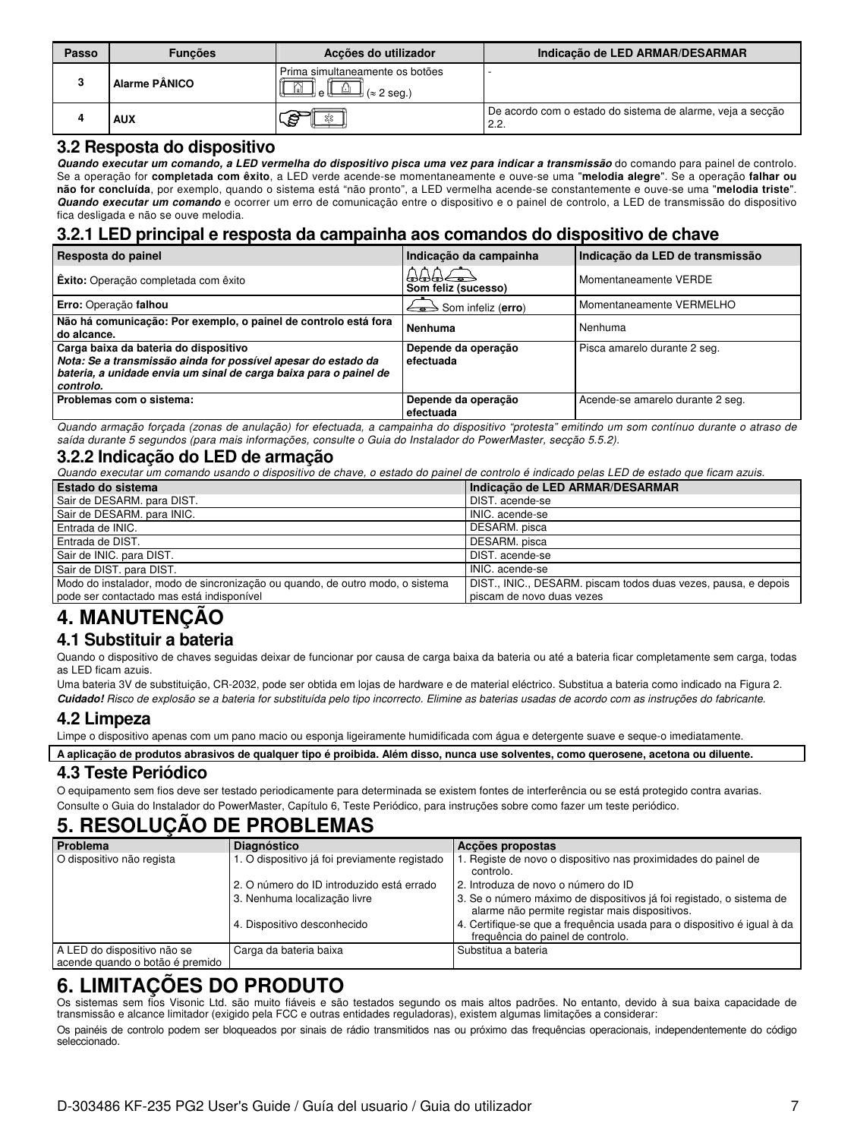| Passo | <b>Funcões</b>       | Acções do utilizador                                 | Indicação de LED ARMAR/DESARMAR                                    |
|-------|----------------------|------------------------------------------------------|--------------------------------------------------------------------|
| з     | <b>Alarme PÂNICO</b> | Prima simultaneamente os botões<br>2 seg.)<br>l e ll |                                                                    |
|       | <b>AUX</b>           | ৩−                                                   | De acordo com o estado do sistema de alarme, veja a secção<br>2.2. |

#### **3.2 Resposta do dispositivo**

**Quando executar um comando, a LED vermelha do dispositivo pisca uma vez para indicar a transmissão** do comando para painel de controlo. Se a operação for **completada com êxito**, a LED verde acende-se momentaneamente e ouve-se uma "**melodia alegre**". Se a operação **falhar ou não for concluída**, por exemplo, quando o sistema está "não pronto", a LED vermelha acende-se constantemente e ouve-se uma "**melodia triste**". **Quando executar um comando** e ocorrer um erro de comunicação entre o dispositivo e o painel de controlo, a LED de transmissão do dispositivo fica desligada e não se ouve melodia.

#### **3.2.1 LED principal e resposta da campainha aos comandos do dispositivo de chave**

| Resposta do painel                                                                                                                                                                       | Indicação da campainha                                          | Indicação da LED de transmissão  |
|------------------------------------------------------------------------------------------------------------------------------------------------------------------------------------------|-----------------------------------------------------------------|----------------------------------|
| <b>Éxito:</b> Operação completada com êxito                                                                                                                                              | $\triangle\triangle\triangle\Rightarrow$<br>Som feliz (sucesso) | Momentaneamente VERDE            |
| Erro: Operação falhou                                                                                                                                                                    | $\Longleftrightarrow$ Som infeliz (erro)                        | Momentaneamente VERMELHO         |
| Não há comunicação: Por exemplo, o painel de controlo está fora<br>do alcance.                                                                                                           | Nenhuma                                                         | Nenhuma                          |
| Carga baixa da bateria do dispositivo<br>Nota: Se a transmissão ainda for possível apesar do estado da<br>bateria, a unidade envia um sinal de carga baixa para o painel de<br>controlo. | Depende da operação<br>efectuada                                | Pisca amarelo durante 2 seg.     |
| Problemas com o sistema:                                                                                                                                                                 | Depende da operação<br>efectuada                                | Acende-se amarelo durante 2 seg. |

Quando armação forçada (zonas de anulação) for efectuada, a campainha do dispositivo "protesta" emitindo um som contínuo durante o atraso de saída durante 5 segundos (para mais informações, consulte o Guia do Instalador do PowerMaster, secção 5.5.2).

#### **3.2.2 Indicação do LED de armação**

Quando executar um comando usando o dispositivo de chave, o estado do painel de controlo é indicado pelas LED de estado que ficam azuis.

| <b>Estado do sistema</b>                                                      | Indicação de LED ARMAR/DESARMAR                                |
|-------------------------------------------------------------------------------|----------------------------------------------------------------|
| Sair de DESARM. para DIST.                                                    | DIST, acende-se                                                |
| Sair de DESARM. para INIC.                                                    | INIC, acende-se                                                |
| Entrada de INIC.                                                              | DESARM, pisca                                                  |
| Entrada de DIST.                                                              | DESARM, pisca                                                  |
| Sair de INIC. para DIST.                                                      | DIST, acende-se                                                |
| Sair de DIST. para DIST.                                                      | INIC, acende-se                                                |
| Modo do instalador, modo de sincronização ou quando, de outro modo, o sistema | DIST., INIC., DESARM. piscam todos duas vezes, pausa, e depois |
| pode ser contactado mas está indisponível                                     | piscam de novo duas vezes                                      |

## **4. MANUTENÇÃO**

#### **4.1 Substituir a bateria**

Quando o dispositivo de chaves seguidas deixar de funcionar por causa de carga baixa da bateria ou até a bateria ficar completamente sem carga, todas as LED ficam azuis.

Uma bateria 3V de substituição, CR-2032, pode ser obtida em lojas de hardware e de material eléctrico. Substitua a bateria como indicado na Figura 2. **Cuidado!** Risco de explosão se a bateria for substituída pelo tipo incorrecto. Elimine as baterias usadas de acordo com as instruções do fabricante.

#### **4.2 Limpeza**

Limpe o dispositivo apenas com um pano macio ou esponja ligeiramente humidificada com água e detergente suave e seque-o imediatamente.

**A aplicação de produtos abrasivos de qualquer tipo é proibida. Além disso, nunca use solventes, como querosene, acetona ou diluente.**

#### **4.3 Teste Periódico**

O equipamento sem fios deve ser testado periodicamente para determinada se existem fontes de interferência ou se está protegido contra avarias. Consulte o Guia do Instalador do PowerMaster, Capítulo 6, Teste Periódico, para instruções sobre como fazer um teste periódico.

### **5. RESOLUÇÃO DE PROBLEMAS**

| Problema                                                       | <b>Diagnóstico</b>                            | Accões propostas                                                                                                       |  |
|----------------------------------------------------------------|-----------------------------------------------|------------------------------------------------------------------------------------------------------------------------|--|
| O dispositivo não regista                                      | 1. O dispositivo já foi previamente registado | 1. Registe de novo o dispositivo nas proximidades do painel de<br>controlo.                                            |  |
|                                                                | 2. O número do ID introduzido está errado     | 2. Introduza de novo o número do ID                                                                                    |  |
|                                                                | 3. Nenhuma localização livre                  | 3. Se o número máximo de dispositivos já foi registado, o sistema de<br>alarme não permite registar mais dispositivos. |  |
|                                                                | 4. Dispositivo desconhecido                   | 4. Certifique-se que a frequência usada para o dispositivo é igual à da<br>freguência do painel de controlo.           |  |
| A LED do dispositivo não se<br>acende guando o botão é premido | Carga da bateria baixa                        | Substitua a bateria                                                                                                    |  |

### **6. LIMITAÇÕES DO PRODUTO**

Os sistemas sem fios Visonic Ltd. são muito fiáveis e são testados segundo os mais altos padrões. No entanto, devido à sua baixa capacidade de transmissão e alcance limitador (exigido pela FCC e outras entidades reguladoras), existem algumas limitações a considerar:

Os painéis de controlo podem ser bloqueados por sinais de rádio transmitidos nas ou próximo das frequências operacionais, independentemente do código seleccionado.